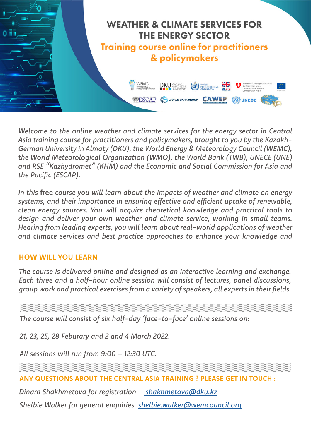

*Welcome to the online weather and climate services for the energy sector in Central Asia training course for practitioners and policymakers, brought to you by the Kazakh-German University in Almaty (DKU), the World Energy & Meteorology Council (WEMC), the World Meteorological Organization (WMO), the World Bank (TWB), UNECE (UNE) and RSE "Kazhydromet" (KHM) and the Economic and Social Commission for Asia and the Pacific (ESCAP).* 

*In this* **free** *course you will learn about the impacts of weather and climate on energy systems, and their importance in ensuring effective and efficient uptake of renewable, clean energy sources. You will acquire theoretical knowledge and practical tools to design and deliver your own weather and climate service, working in small teams. Hearing from leading experts, you will learn about real-world applications of weather and climate services and best practice approaches to enhance your knowledge and* 

### **HOW WILL YOU LEARN**

*The course is delivered online and designed as an interactive learning and exchange. Each three and a half-hour online session will consist of lectures, panel discussions, group work and practical exercises from a variety of speakers, all experts in their fields.*

*The course will consist of six half-day 'face-to-face' online sessions on:*

*21, 23, 25, 28 Feburary and 2 and 4 March 2022.* 

*All sessions will run from 9:00 – 12:30 UTC.*

#### **ANY QUESTIONS ABOUT THE CENTRAL ASIA TRAINING ? PLEASE GET IN TOUCH :**

*Dinara Shakhmetova for registration [shakhmetova@dku.kz](mailto:%20shakhmetova%40dku.kz?subject=) Shelbie Walker for general enquiries [shelbie.walker@wemcouncil.org](mailto:shelbie.walker%40wemcouncil.org?subject=)*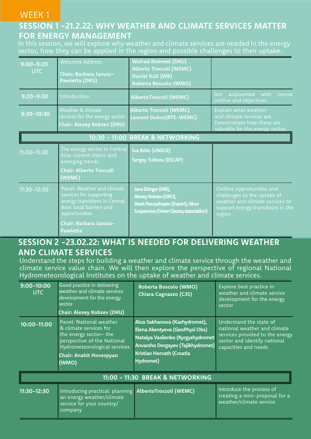### WEEK 1

## **SESSION 1 -21.2.22: WHY WEATHER AND CLIMATE SERVICES MATTER FOR ENERGY MANAGEMENT**

In this session, we will explore why weather and climate services are needed in the energy sector, how they can be applied in the region and possible challenges to their uptake.

| $9:00 - 9:20$<br><b>UTC</b>      | <b>Welcome Address</b><br>Chair: Barbara Janusz-<br>Pawletta (DKU)                                                                  | <b>Wolrad Rommel (DKU)</b><br><b>Alberto Troccoli (WEMC)</b><br>Daniel Kull (WB)<br>Roberta Boscolo (WMO)              |                                                                                                                                            |
|----------------------------------|-------------------------------------------------------------------------------------------------------------------------------------|------------------------------------------------------------------------------------------------------------------------|--------------------------------------------------------------------------------------------------------------------------------------------|
| $9:20 - 9:30$                    | Introduction                                                                                                                        | <b>AlbertoTroccoli (WEMC)</b>                                                                                          | acquainted with<br>Get<br>course<br>outline and objectives                                                                                 |
| $9:30 - 10:30$                   | Weather & climate<br>services for the energy sector<br>Chair: Alexey Kobzev (DKU)                                                   | <b>Alberto Troccoli (WEMC)</b><br><b>Laurent Dubus(RTE-WEMC)</b>                                                       | Explain what weather<br>and climate services are.<br>Demonstrate how these are<br>valuable for the energy sector                           |
| 10:30 - 11:00 BREAK & NETWORKING |                                                                                                                                     |                                                                                                                        |                                                                                                                                            |
| $11:00 - 11:30$                  | The energy sector in Central<br>Asia: current status and<br>emerging trends<br><b>Chair: Alberto Troccoli</b><br>(WEMC)             | <b>Iva Brkic (UNECE)</b><br><b>Sergey Tulinov (ESCAP)</b>                                                              |                                                                                                                                            |
| $11:30 - 12:30$                  | Panel: Weather and climate<br>services for supporting<br>energy transitions in Central<br>Asia: local barriers and<br>opportunities | Jane Ebinger (WB),<br>Alexey Kobzev (DKU),<br>Asset Nauryzbayev (Expert), Ainur<br>Sospanova (Green Qazaq association) | Outline opportunities and<br>challenges to the uptake of<br>weather and climate services to<br>support energy transitions in the<br>region |
|                                  | Chair: Barbara Janusz-<br>Pawletta                                                                                                  |                                                                                                                        |                                                                                                                                            |

# **SESSION 2 -23.02.22: WHAT IS NEEDED FOR DELIVERING WEATHER AND CLIMATE SERVICES**

Understand the steps for building a weather and climate service through the weather and climate service value chain. We will then explore the perspective of regional National Hydrometeorological Institutes on the uptake of weather and climate services.

| $9:00 - 10:00$<br><b>UTC</b>     | Good practice in delivering<br>weather and climate services<br>development for the energy<br>sector<br>Chair: Alexey Kobzev (DKU)                                                    | Roberta Boscolo (WMO)<br>Chiara Cagnazzo (C3S)                                                                                                                                      | Explore best practice in<br>weather and climate service<br>development for the energy<br>sector                                                    |
|----------------------------------|--------------------------------------------------------------------------------------------------------------------------------------------------------------------------------------|-------------------------------------------------------------------------------------------------------------------------------------------------------------------------------------|----------------------------------------------------------------------------------------------------------------------------------------------------|
| 10:00-11:00                      | Panel: National weather<br>& climate services for<br>the energy sector-the<br>perspective of the National<br>Hydrometeorological services<br><b>Chair: Anahit Hovespyan</b><br>(WMO) | Alua Sakhanova (Kazhydromet),<br>Elena Akentyeva (GeoPhysi Obs)<br>Natalya Vasilenko (Kyrgyzhydromet<br>Anvarsho Dorgayev (Tajikhydromet)<br>Kristian Horvath (Croatia<br>Hydromet) | Understand the state of<br>national weather and climate<br>services provided to the energy<br>sector and identify national<br>capacities and needs |
| 11:00 - 11:30 BREAK & NETWORKING |                                                                                                                                                                                      |                                                                                                                                                                                     |                                                                                                                                                    |
| 11:30-12:30                      | Introducing practical: planning AlbertoTroccoli (WEMC)<br>an energy weather/climate<br>service for your country/<br>company                                                          |                                                                                                                                                                                     | Introduce the process of<br>creating a mini-proposal for a<br>weather/climate service                                                              |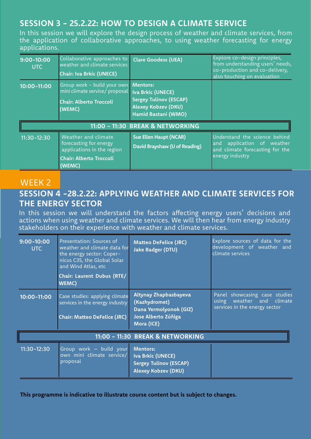## **SESSION 3 - 25.2.22: HOW TO DESIGN A CLIMATE SERVICE**

In this session we will explore the design process of weather and climate services, from the application of collaborative approaches, to using weather forecasting for energy applications.

| $9:00 - 10:00$<br><b>UTC</b>     | Collaborative approaches to<br>weather and climate services<br><b>Chair: Iva Brkic (UNECE)</b>                          | <b>Clare Goodess (UEA)</b>                                                                                                        | Explore co-design principles,<br>from understanding users' needs,<br>co-production and co-delivery,<br>also touching on evaluation |
|----------------------------------|-------------------------------------------------------------------------------------------------------------------------|-----------------------------------------------------------------------------------------------------------------------------------|------------------------------------------------------------------------------------------------------------------------------------|
| $10:00 - 11:00$                  | Group work - build your own<br>mini climate service/ proposal<br><b>Chair: Alberto Troccoli</b><br>(WEMC)               | <b>Mentors:</b><br><b>Iva Brkic (UNECE)</b><br><b>Sergey Tulinov (ESCAP)</b><br><b>Alexey Kobzev (DKU)</b><br>Hamid Bastani (WMO) |                                                                                                                                    |
| 11:00 - 11:30 BREAK & NETWORKING |                                                                                                                         |                                                                                                                                   |                                                                                                                                    |
| $11:30 - 12:30$                  | Weather and climate<br>forecasting for energy<br>applications in the region<br><b>Chair: Alberto Troccoli</b><br>(WEMC) | <b>Sue Ellen Haupt (NCAR)</b><br>David Brayshaw (U of Reading)                                                                    | Understand the science behind<br>application of weather<br>and<br>and climate forecasting for the<br>energy industry               |

## WEEK 2 **SESSION 4 -28.2.22: APPLYING WEATHER AND CLIMATE SERVICES FOR THE ENERGY SECTOR**

In this session we will understand the factors affecting energy users' decisions and actions when using weather and climate services. We will then hear from energy industry stakeholders on their experience with weather and climate services.

| $9:00 - 10:00$<br><b>UTC</b>     | Presentation: Sources of<br>weather and climate data for<br>the energy sector: Coper-<br>nicus C3S, the Global Solar<br>and Wind Atlas, etc<br>Chair: Laurent Dubus (RTE/<br>WEMC) | <b>Matteo DeFelice (JRC)</b><br><b>Jake Badger (DTU)</b>                                              | Explore sources of data for the<br>development of weather and<br>climate services              |  |
|----------------------------------|------------------------------------------------------------------------------------------------------------------------------------------------------------------------------------|-------------------------------------------------------------------------------------------------------|------------------------------------------------------------------------------------------------|--|
| $10:00 - 11:00$                  | Case studies: applying climate<br>services in the energy industry<br><b>Chair: Matteo DeFelice (JRC)</b>                                                                           | Altynay Zhapbasbayeva<br>(Kazhydromet)<br>Dana Yermolyonok (GIZ)<br>Jose Alberto Zúñiga<br>Mora (ICE) | Panel showcasing case studies<br>using weather and<br>climate<br>services in the energy sector |  |
| 11:00 - 11:30 BREAK & NETWORKING |                                                                                                                                                                                    |                                                                                                       |                                                                                                |  |
| $11:30 - 12:30$                  | Group work - build your<br>own mini climate service/<br>proposal                                                                                                                   | <b>Mentors:</b><br>Iva Brkic (UNECE)<br><b>Sergey Tulinov (ESCAP)</b><br><b>Alexey Kobzev (DKU)</b>   |                                                                                                |  |

**This programme is indicative to illustrate course content but is subject to changes.**